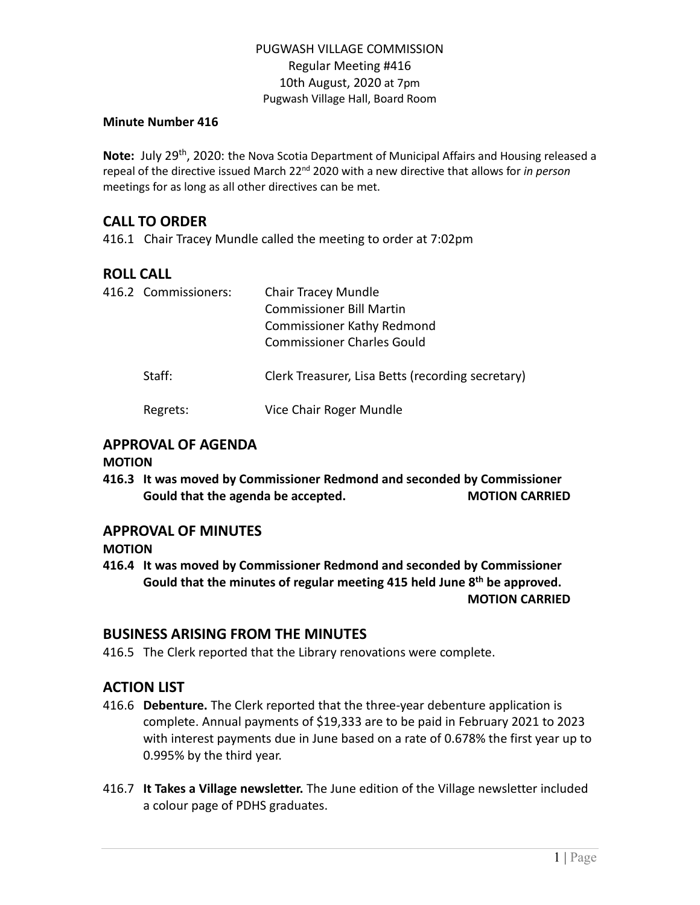#### **Minute Number 416**

Note: July 29<sup>th</sup>, 2020: the Nova Scotia Department of Municipal Affairs and Housing released a repeal of the directive issued March 22nd 2020 with a new directive that allows for *in person* meetings for as long as all other directives can be met.

# **CALL TO ORDER**

416.1 Chair Tracey Mundle called the meeting to order at 7:02pm

# **ROLL CALL**

| 416.2 Commissioners: | <b>Chair Tracey Mundle</b><br><b>Commissioner Bill Martin</b><br><b>Commissioner Kathy Redmond</b><br><b>Commissioner Charles Gould</b> |  |  |
|----------------------|-----------------------------------------------------------------------------------------------------------------------------------------|--|--|
| Staff:               | Clerk Treasurer, Lisa Betts (recording secretary)                                                                                       |  |  |
| Regrets:             | Vice Chair Roger Mundle                                                                                                                 |  |  |

### **APPROVAL OF AGENDA**

#### **MOTION**

**416.3 It was moved by Commissioner Redmond and seconded by Commissioner Gould that the agenda be accepted. MOTION CARRIED**

# **APPROVAL OF MINUTES**

**MOTION**

**416.4 It was moved by Commissioner Redmond and seconded by Commissioner Gould that the minutes of regular meeting 415 held June 8 th be approved. MOTION CARRIED**

# **BUSINESS ARISING FROM THE MINUTES**

416.5 The Clerk reported that the Library renovations were complete.

# **ACTION LIST**

- 416.6 **Debenture.** The Clerk reported that the three-year debenture application is complete. Annual payments of \$19,333 are to be paid in February 2021 to 2023 with interest payments due in June based on a rate of 0.678% the first year up to 0.995% by the third year.
- 416.7 **It Takes a Village newsletter.** The June edition of the Village newsletter included a colour page of PDHS graduates.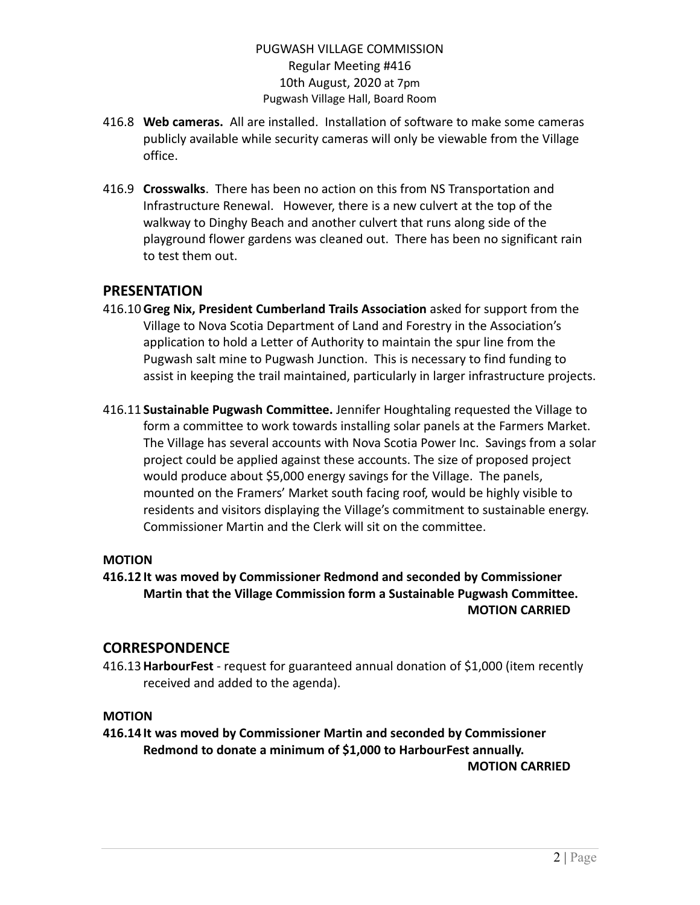- 416.8 **Web cameras.** All are installed. Installation of software to make some cameras publicly available while security cameras will only be viewable from the Village office.
- 416.9 **Crosswalks**. There has been no action on this from NS Transportation and Infrastructure Renewal. However, there is a new culvert at the top of the walkway to Dinghy Beach and another culvert that runs along side of the playground flower gardens was cleaned out. There has been no significant rain to test them out.

# **PRESENTATION**

- 416.10**Greg Nix, President Cumberland Trails Association** asked for support from the Village to Nova Scotia Department of Land and Forestry in the Association's application to hold a Letter of Authority to maintain the spur line from the Pugwash salt mine to Pugwash Junction. This is necessary to find funding to assist in keeping the trail maintained, particularly in larger infrastructure projects.
- 416.11 **Sustainable Pugwash Committee.** Jennifer Houghtaling requested the Village to form a committee to work towards installing solar panels at the Farmers Market. The Village has several accounts with Nova Scotia Power Inc. Savings from a solar project could be applied against these accounts. The size of proposed project would produce about \$5,000 energy savings for the Village. The panels, mounted on the Framers' Market south facing roof, would be highly visible to residents and visitors displaying the Village's commitment to sustainable energy. Commissioner Martin and the Clerk will sit on the committee.

#### **MOTION**

**416.12 It was moved by Commissioner Redmond and seconded by Commissioner Martin that the Village Commission form a Sustainable Pugwash Committee. MOTION CARRIED**

# **CORRESPONDENCE**

416.13**HarbourFest** - request for guaranteed annual donation of \$1,000 (item recently received and added to the agenda).

# **MOTION**

**416.14 It was moved by Commissioner Martin and seconded by Commissioner Redmond to donate a minimum of \$1,000 to HarbourFest annually. MOTION CARRIED**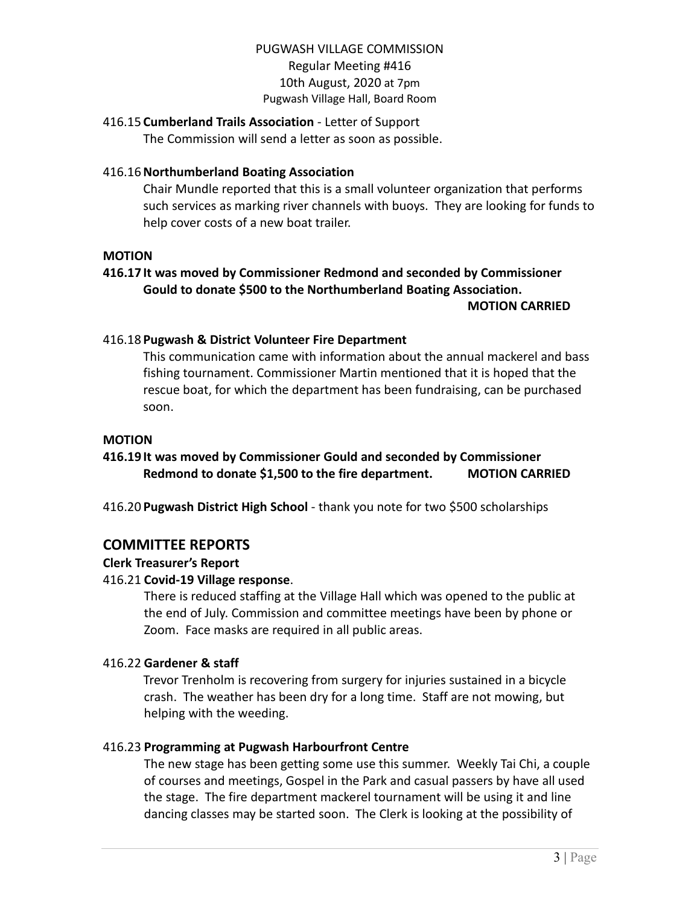### 416.15 **Cumberland Trails Association** - Letter of Support

The Commission will send a letter as soon as possible.

### 416.16**Northumberland Boating Association**

Chair Mundle reported that this is a small volunteer organization that performs such services as marking river channels with buoys. They are looking for funds to help cover costs of a new boat trailer.

#### **MOTION**

# **416.17 It was moved by Commissioner Redmond and seconded by Commissioner Gould to donate \$500 to the Northumberland Boating Association.**

#### **MOTION CARRIED**

### 416.18 **Pugwash & District Volunteer Fire Department**

This communication came with information about the annual mackerel and bass fishing tournament. Commissioner Martin mentioned that it is hoped that the rescue boat, for which the department has been fundraising, can be purchased soon.

#### **MOTION**

# **416.19 It was moved by Commissioner Gould and seconded by Commissioner Redmond to donate \$1,500 to the fire department. MOTION CARRIED**

416.20 **Pugwash District High School** - thank you note for two \$500 scholarships

# **COMMITTEE REPORTS**

#### **Clerk Treasurer's Report**

#### 416.21 **Covid-19 Village response**.

There is reduced staffing at the Village Hall which was opened to the public at the end of July. Commission and committee meetings have been by phone or Zoom. Face masks are required in all public areas.

#### 416.22 **Gardener & staff**

Trevor Trenholm is recovering from surgery for injuries sustained in a bicycle crash. The weather has been dry for a long time. Staff are not mowing, but helping with the weeding.

#### 416.23 **Programming at Pugwash Harbourfront Centre**

The new stage has been getting some use this summer. Weekly Tai Chi, a couple of courses and meetings, Gospel in the Park and casual passers by have all used the stage. The fire department mackerel tournament will be using it and line dancing classes may be started soon. The Clerk is looking at the possibility of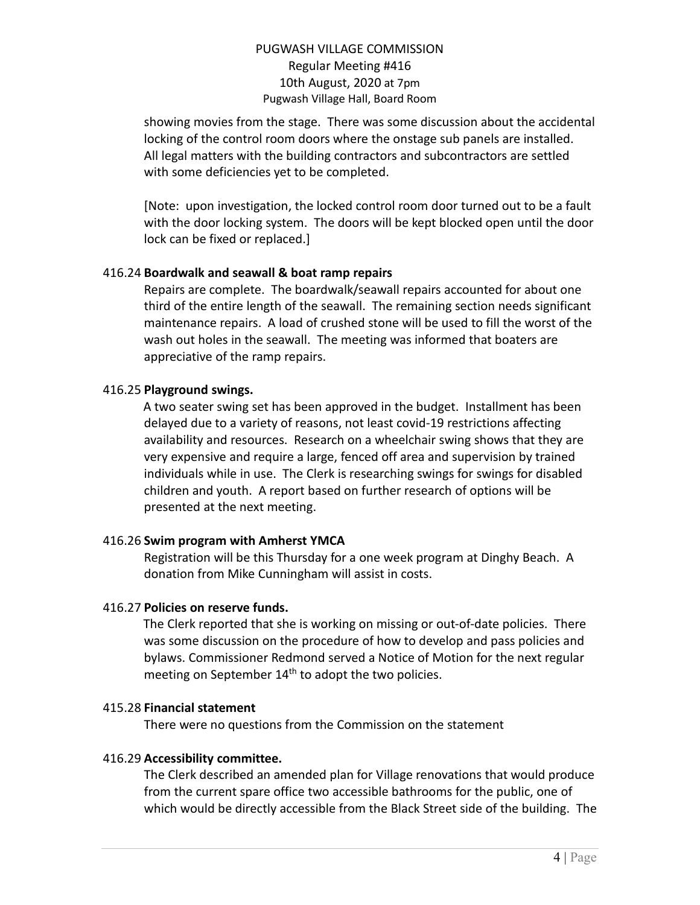showing movies from the stage. There was some discussion about the accidental locking of the control room doors where the onstage sub panels are installed. All legal matters with the building contractors and subcontractors are settled with some deficiencies yet to be completed.

[Note: upon investigation, the locked control room door turned out to be a fault with the door locking system. The doors will be kept blocked open until the door lock can be fixed or replaced.]

### 416.24 **Boardwalk and seawall & boat ramp repairs**

Repairs are complete. The boardwalk/seawall repairs accounted for about one third of the entire length of the seawall. The remaining section needs significant maintenance repairs. A load of crushed stone will be used to fill the worst of the wash out holes in the seawall. The meeting was informed that boaters are appreciative of the ramp repairs.

# 416.25 **Playground swings.**

A two seater swing set has been approved in the budget. Installment has been delayed due to a variety of reasons, not least covid-19 restrictions affecting availability and resources. Research on a wheelchair swing shows that they are very expensive and require a large, fenced off area and supervision by trained individuals while in use. The Clerk is researching swings for swings for disabled children and youth. A report based on further research of options will be presented at the next meeting.

# 416.26 **Swim program with Amherst YMCA**

Registration will be this Thursday for a one week program at Dinghy Beach. A donation from Mike Cunningham will assist in costs.

# 416.27 **Policies on reserve funds.**

The Clerk reported that she is working on missing or out-of-date policies. There was some discussion on the procedure of how to develop and pass policies and bylaws. Commissioner Redmond served a Notice of Motion for the next regular meeting on September 14<sup>th</sup> to adopt the two policies.

#### 415.28 **Financial statement**

There were no questions from the Commission on the statement

# 416.29 **Accessibility committee.**

The Clerk described an amended plan for Village renovations that would produce from the current spare office two accessible bathrooms for the public, one of which would be directly accessible from the Black Street side of the building. The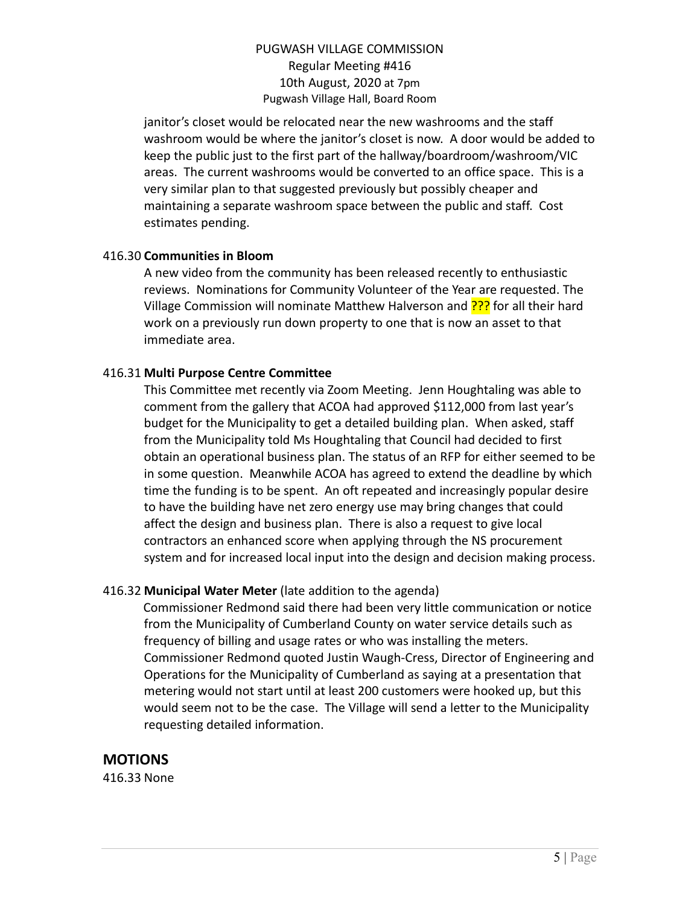janitor's closet would be relocated near the new washrooms and the staff washroom would be where the janitor's closet is now. A door would be added to keep the public just to the first part of the hallway/boardroom/washroom/VIC areas. The current washrooms would be converted to an office space. This is a very similar plan to that suggested previously but possibly cheaper and maintaining a separate washroom space between the public and staff. Cost estimates pending.

#### 416.30 **Communities in Bloom**

A new video from the community has been released recently to enthusiastic reviews. Nominations for Community Volunteer of the Year are requested. The Village Commission will nominate Matthew Halverson and ??? for all their hard work on a previously run down property to one that is now an asset to that immediate area.

#### 416.31 **Multi Purpose Centre Committee**

This Committee met recently via Zoom Meeting. Jenn Houghtaling was able to comment from the gallery that ACOA had approved \$112,000 from last year's budget for the Municipality to get a detailed building plan. When asked, staff from the Municipality told Ms Houghtaling that Council had decided to first obtain an operational business plan. The status of an RFP for either seemed to be in some question. Meanwhile ACOA has agreed to extend the deadline by which time the funding is to be spent. An oft repeated and increasingly popular desire to have the building have net zero energy use may bring changes that could affect the design and business plan. There is also a request to give local contractors an enhanced score when applying through the NS procurement system and for increased local input into the design and decision making process.

#### 416.32 **Municipal Water Meter** (late addition to the agenda)

Commissioner Redmond said there had been very little communication or notice from the Municipality of Cumberland County on water service details such as frequency of billing and usage rates or who was installing the meters. Commissioner Redmond quoted Justin Waugh-Cress, Director of Engineering and Operations for the Municipality of Cumberland as saying at a presentation that metering would not start until at least 200 customers were hooked up, but this would seem not to be the case. The Village will send a letter to the Municipality requesting detailed information.

# **MOTIONS**

416.33 None